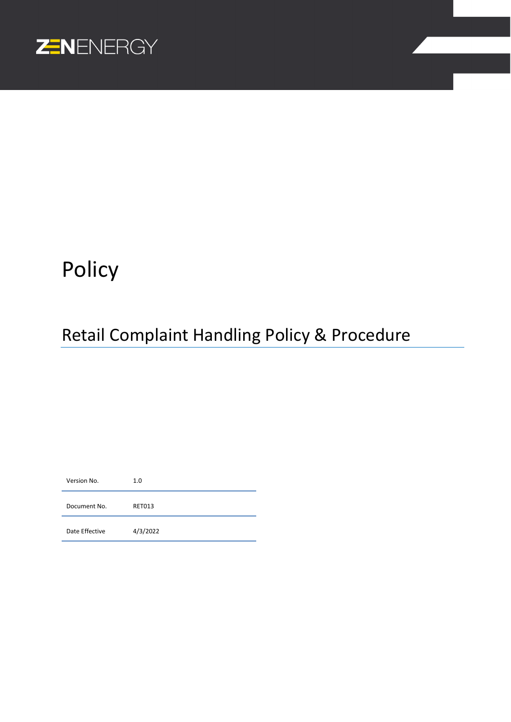

# Policy

## Retail Complaint Handling Policy & Procedure

Version No. 1.0 Document No. RET013 Date Effective <br>4/3/2022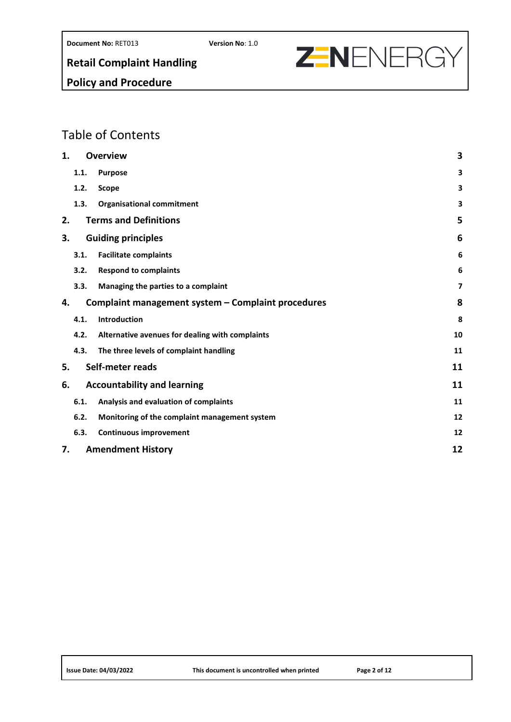

## **Policy and Procedure**

## Table of Contents

| 1. |      | <b>Overview</b>                                    | 3  |  |  |
|----|------|----------------------------------------------------|----|--|--|
|    | 1.1. | <b>Purpose</b>                                     | 3  |  |  |
|    | 1.2. | Scope                                              | 3  |  |  |
|    | 1.3. | <b>Organisational commitment</b>                   | 3  |  |  |
| 2. |      | <b>Terms and Definitions</b>                       | 5  |  |  |
| З. | 6    |                                                    |    |  |  |
|    | 3.1. | <b>Facilitate complaints</b>                       | 6  |  |  |
|    | 3.2. | <b>Respond to complaints</b>                       | 6  |  |  |
|    | 3.3. | Managing the parties to a complaint                | 7  |  |  |
| 4. |      | Complaint management system - Complaint procedures | 8  |  |  |
|    | 4.1. | Introduction                                       | 8  |  |  |
|    | 4.2. | Alternative avenues for dealing with complaints    | 10 |  |  |
|    | 4.3. | The three levels of complaint handling             | 11 |  |  |
| 5. |      | Self-meter reads                                   | 11 |  |  |
| 6. |      | <b>Accountability and learning</b>                 | 11 |  |  |
|    | 6.1. | Analysis and evaluation of complaints              | 11 |  |  |
|    | 6.2. | Monitoring of the complaint management system      | 12 |  |  |
|    | 6.3. | <b>Continuous improvement</b>                      | 12 |  |  |
| 7. |      | 12<br><b>Amendment History</b>                     |    |  |  |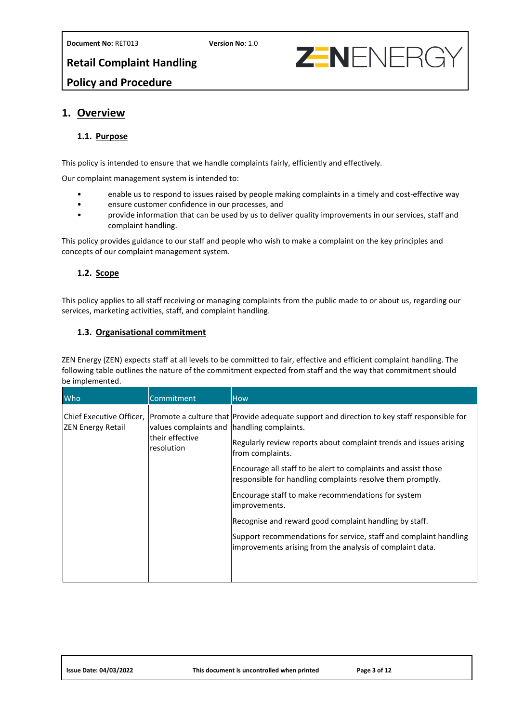

## **Retail Complaint Handling Policy and Procedure**

## <span id="page-2-1"></span><span id="page-2-0"></span>**1. Overview**

## **1.1. Purpose**

This policy is intended to ensure that we handle complaints fairly, efficiently and effectively.

Our complaint management system is intended to:

- enable us to respond to issues raised by people making complaints in a timely and cost-effective way
- ensure customer confidence in our processes, and
- provide information that can be used by us to deliver quality improvements in our services, staff and complaint handling.

This policy provides guidance to our staff and people who wish to make a complaint on the key principles and concepts of our complaint management system.

## <span id="page-2-2"></span>**1.2. Scope**

This policy applies to all staff receiving or managing complaints from the public made to or about us, regarding our services, marketing activities, staff, and complaint handling.

## <span id="page-2-3"></span>**1.3. Organisational commitment**

ZEN Energy (ZEN) expects staff at all levels to be committed to fair, effective and efficient complaint handling. The following table outlines the nature of the commitment expected from staff and the way that commitment should be implemented.

| Who                                                  | Commitment                                                                    | <b>How</b>                                                                                                                                                                                                                                                                                                                                                                                                                                                                                                                                                                              |
|------------------------------------------------------|-------------------------------------------------------------------------------|-----------------------------------------------------------------------------------------------------------------------------------------------------------------------------------------------------------------------------------------------------------------------------------------------------------------------------------------------------------------------------------------------------------------------------------------------------------------------------------------------------------------------------------------------------------------------------------------|
| Chief Executive Officer,<br><b>ZEN Energy Retail</b> | values complaints and   handling complaints.<br>their effective<br>resolution | Promote a culture that Provide adequate support and direction to key staff responsible for<br>Regularly review reports about complaint trends and issues arising<br>from complaints.<br>Encourage all staff to be alert to complaints and assist those<br>responsible for handling complaints resolve them promptly.<br>Encourage staff to make recommendations for system<br>improvements.<br>Recognise and reward good complaint handling by staff.<br>Support recommendations for service, staff and complaint handling<br>improvements arising from the analysis of complaint data. |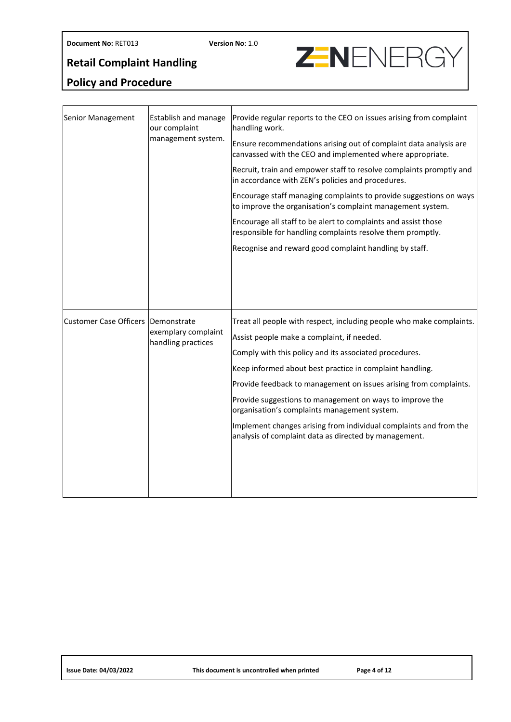# **Z-NENERGY**

## **Policy and Procedure**

| Senior Management             | Establish and manage<br>our complaint<br>management system. | Provide regular reports to the CEO on issues arising from complaint<br>handling work.<br>Ensure recommendations arising out of complaint data analysis are<br>canvassed with the CEO and implemented where appropriate.<br>Recruit, train and empower staff to resolve complaints promptly and<br>in accordance with ZEN's policies and procedures.<br>Encourage staff managing complaints to provide suggestions on ways<br>to improve the organisation's complaint management system.<br>Encourage all staff to be alert to complaints and assist those<br>responsible for handling complaints resolve them promptly.<br>Recognise and reward good complaint handling by staff. |
|-------------------------------|-------------------------------------------------------------|-----------------------------------------------------------------------------------------------------------------------------------------------------------------------------------------------------------------------------------------------------------------------------------------------------------------------------------------------------------------------------------------------------------------------------------------------------------------------------------------------------------------------------------------------------------------------------------------------------------------------------------------------------------------------------------|
| <b>Customer Case Officers</b> | Demonstrate<br>exemplary complaint<br>handling practices    | Treat all people with respect, including people who make complaints.<br>Assist people make a complaint, if needed.<br>Comply with this policy and its associated procedures.<br>Keep informed about best practice in complaint handling.<br>Provide feedback to management on issues arising from complaints.<br>Provide suggestions to management on ways to improve the<br>organisation's complaints management system.<br>Implement changes arising from individual complaints and from the<br>analysis of complaint data as directed by management.                                                                                                                           |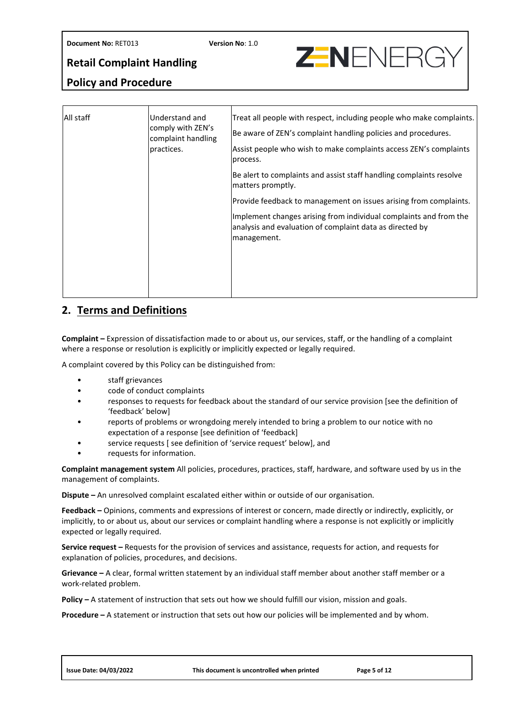# **ZENENERG**

## **Retail Complaint Handling**

## **Policy and Procedure**

| All staff | Understand and<br>comply with ZEN's<br>complaint handling<br>practices. | Treat all people with respect, including people who make complaints.<br>Be aware of ZEN's complaint handling policies and procedures.<br>Assist people who wish to make complaints access ZEN's complaints<br>process. |
|-----------|-------------------------------------------------------------------------|------------------------------------------------------------------------------------------------------------------------------------------------------------------------------------------------------------------------|
|           |                                                                         | Be alert to complaints and assist staff handling complaints resolve<br>matters promptly.                                                                                                                               |
|           |                                                                         | Provide feedback to management on issues arising from complaints.                                                                                                                                                      |
|           |                                                                         | Implement changes arising from individual complaints and from the<br>analysis and evaluation of complaint data as directed by<br>management.                                                                           |
|           |                                                                         |                                                                                                                                                                                                                        |

## <span id="page-4-0"></span>**2. Terms and Definitions**

**Complaint –** Expression of dissatisfaction made to or about us, our services, staff, or the handling of a complaint where a response or resolution is explicitly or implicitly expected or legally required.

A complaint covered by this Policy can be distinguished from:

- staff grievances
- code of conduct complaints
- responses to requests for feedback about the standard of our service provision [see the definition of 'feedback' below]
- reports of problems or wrongdoing merely intended to bring a problem to our notice with no expectation of a response [see definition of 'feedback]
- service requests [ see definition of 'service request' below], and
- requests for information.

**Complaint management system** All policies, procedures, practices, staff, hardware, and software used by us in the management of complaints.

**Dispute –** An unresolved complaint escalated either within or outside of our organisation.

**Feedback –** Opinions, comments and expressions of interest or concern, made directly or indirectly, explicitly, or implicitly, to or about us, about our services or complaint handling where a response is not explicitly or implicitly expected or legally required.

**Service request –** Requests for the provision of services and assistance, requests for action, and requests for explanation of policies, procedures, and decisions.

**Grievance –** A clear, formal written statement by an individual staff member about another staff member or a work-related problem.

**Policy –** A statement of instruction that sets out how we should fulfill our vision, mission and goals.

**Procedure –** A statement or instruction that sets out how our policies will be implemented and by whom.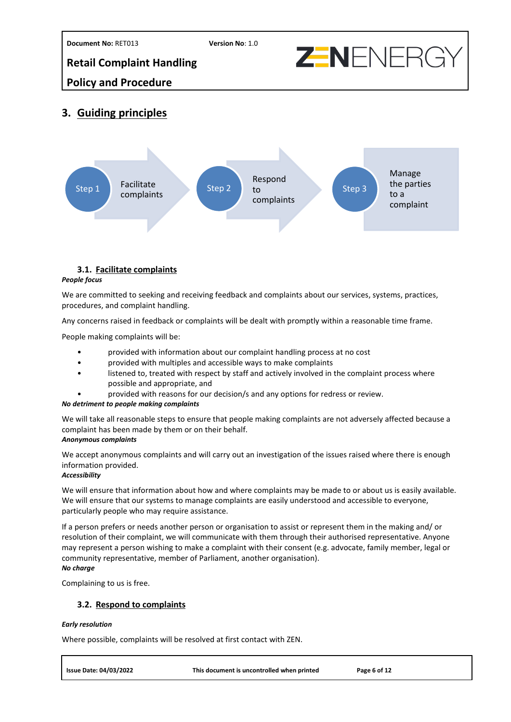



## **Policy and Procedure**

## <span id="page-5-0"></span>**3. Guiding principles**



## <span id="page-5-1"></span>**3.1. Facilitate complaints**

#### *People focus*

We are committed to seeking and receiving feedback and complaints about our services, systems, practices, procedures, and complaint handling.

Any concerns raised in feedback or complaints will be dealt with promptly within a reasonable time frame.

People making complaints will be:

- provided with information about our complaint handling process at no cost
- provided with multiples and accessible ways to make complaints
- listened to, treated with respect by staff and actively involved in the complaint process where possible and appropriate, and
	- provided with reasons for our decision/s and any options for redress or review.

## *No detriment to people making complaints*

We will take all reasonable steps to ensure that people making complaints are not adversely affected because a complaint has been made by them or on their behalf.

#### *Anonymous complaints*

We accept anonymous complaints and will carry out an investigation of the issues raised where there is enough information provided.

## *Accessibility*

We will ensure that information about how and where complaints may be made to or about us is easily available. We will ensure that our systems to manage complaints are easily understood and accessible to everyone, particularly people who may require assistance.

If a person prefers or needs another person or organisation to assist or represent them in the making and/ or resolution of their complaint, we will communicate with them through their authorised representative. Anyone may represent a person wishing to make a complaint with their consent (e.g. advocate, family member, legal or community representative, member of Parliament, another organisation). *No charge*

<span id="page-5-2"></span>Complaining to us is free.

## **3.2. Respond to complaints**

#### *Early resolution*

Where possible, complaints will be resolved at first contact with ZEN.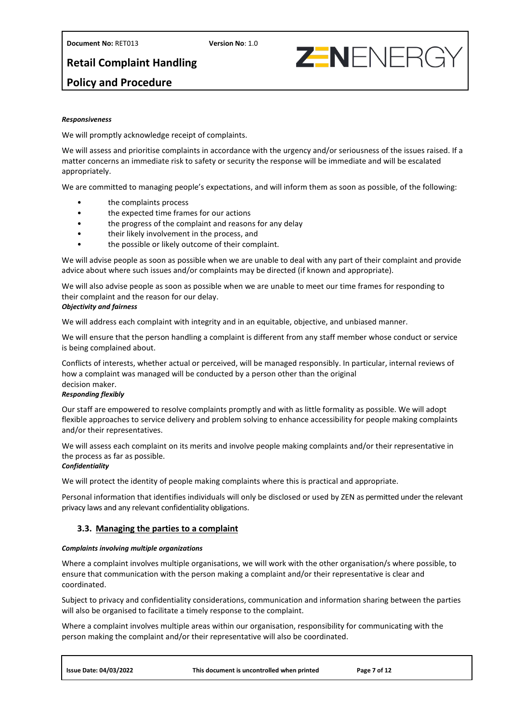**Document No:** RET013 **Version No**: 1.0

**ZENENERG** 

**Retail Complaint Handling** 

## **Policy and Procedure**

#### *Responsiveness*

We will promptly acknowledge receipt of complaints.

We will assess and prioritise complaints in accordance with the urgency and/or seriousness of the issues raised. If a matter concerns an immediate risk to safety or security the response will be immediate and will be escalated appropriately.

We are committed to managing people's expectations, and will inform them as soon as possible, of the following:

- the complaints process
- the expected time frames for our actions
- the progress of the complaint and reasons for any delay
- their likely involvement in the process, and
- the possible or likely outcome of their complaint.

We will advise people as soon as possible when we are unable to deal with any part of their complaint and provide advice about where such issues and/or complaints may be directed (if known and appropriate).

We will also advise people as soon as possible when we are unable to meet our time frames for responding to their complaint and the reason for our delay.

#### *Objectivity and fairness*

We will address each complaint with integrity and in an equitable, objective, and unbiased manner.

We will ensure that the person handling a complaint is different from any staff member whose conduct or service is being complained about.

Conflicts of interests, whether actual or perceived, will be managed responsibly. In particular, internal reviews of how a complaint was managed will be conducted by a person other than the original decision maker.

#### *Responding flexibly*

Our staff are empowered to resolve complaints promptly and with as little formality as possible. We will adopt flexible approaches to service delivery and problem solving to enhance accessibility for people making complaints and/or their representatives.

We will assess each complaint on its merits and involve people making complaints and/or their representative in the process as far as possible.

#### *Confidentiality*

We will protect the identity of people making complaints where this is practical and appropriate.

Personal information that identifies individuals will only be disclosed or used by ZEN as permitted under the relevant privacy laws and any relevant confidentiality obligations.

## <span id="page-6-0"></span>**3.3. Managing the parties to a complaint**

#### *Complaints involving multiple organizations*

Where a complaint involves multiple organisations, we will work with the other organisation/s where possible, to ensure that communication with the person making a complaint and/or their representative is clear and coordinated.

Subject to privacy and confidentiality considerations, communication and information sharing between the parties will also be organised to facilitate a timely response to the complaint.

Where a complaint involves multiple areas within our organisation, responsibility for communicating with the person making the complaint and/or their representative will also be coordinated.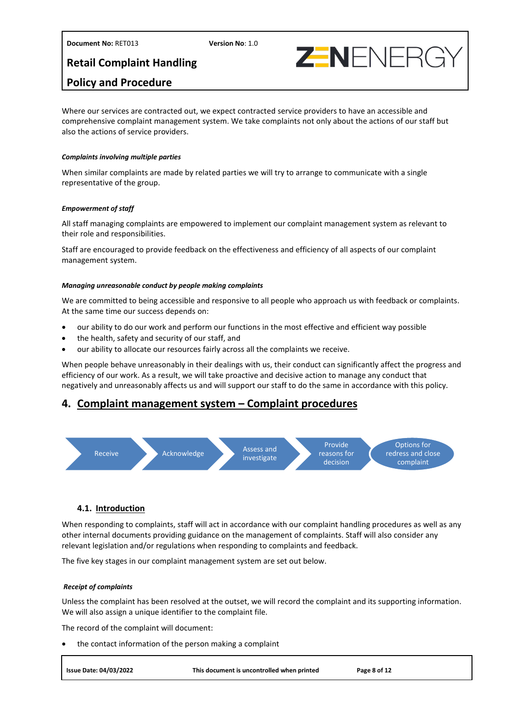## **Policy and Procedure**

Where our services are contracted out, we expect contracted service providers to have an accessible and comprehensive complaint management system. We take complaints not only about the actions of our staff but also the actions of service providers.

**ZENENERG** 

#### *Complaints involving multiple parties*

When similar complaints are made by related parties we will try to arrange to communicate with a single representative of the group.

#### *Empowerment of staff*

All staff managing complaints are empowered to implement our complaint management system as relevant to their role and responsibilities.

Staff are encouraged to provide feedback on the effectiveness and efficiency of all aspects of our complaint management system.

#### *Managing unreasonable conduct by people making complaints*

We are committed to being accessible and responsive to all people who approach us with feedback or complaints. At the same time our success depends on:

- our ability to do our work and perform our functions in the most effective and efficient way possible
- the health, safety and security of our staff, and
- our ability to allocate our resources fairly across all the complaints we receive.

When people behave unreasonably in their dealings with us, their conduct can significantly affect the progress and efficiency of our work. As a result, we will take proactive and decisive action to manage any conduct that negatively and unreasonably affects us and will support our staff to do the same in accordance with this policy.

## <span id="page-7-0"></span>**4. Complaint management system – Complaint procedures**



## <span id="page-7-1"></span>**4.1. Introduction**

When responding to complaints, staff will act in accordance with our complaint handling procedures as well as any other internal documents providing guidance on the management of complaints. Staff will also consider any relevant legislation and/or regulations when responding to complaints and feedback.

The five key stages in our complaint management system are set out below.

#### *Receipt of complaints*

Unless the complaint has been resolved at the outset, we will record the complaint and its supporting information. We will also assign a unique identifier to the complaint file.

The record of the complaint will document:

• the contact information of the person making a complaint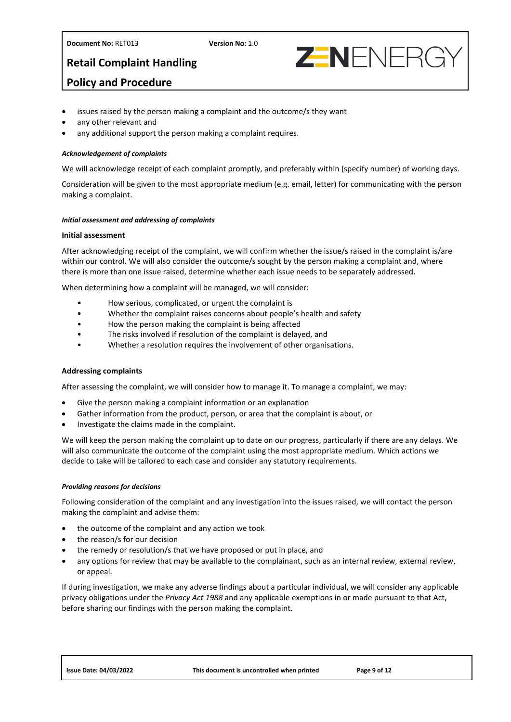



## **Policy and Procedure**

- issues raised by the person making a complaint and the outcome/s they want
- any other relevant and
- any additional support the person making a complaint requires.

#### *Acknowledgement of complaints*

We will acknowledge receipt of each complaint promptly, and preferably within (specify number) of working days.

Consideration will be given to the most appropriate medium (e.g. email, letter) for communicating with the person making a complaint.

#### *Initial assessment and addressing of complaints*

#### **Initial assessment**

After acknowledging receipt of the complaint, we will confirm whether the issue/s raised in the complaint is/are within our control. We will also consider the outcome/s sought by the person making a complaint and, where there is more than one issue raised, determine whether each issue needs to be separately addressed.

When determining how a complaint will be managed, we will consider:

- How serious, complicated, or urgent the complaint is
- Whether the complaint raises concerns about people's health and safety
- How the person making the complaint is being affected
- The risks involved if resolution of the complaint is delayed, and
- Whether a resolution requires the involvement of other organisations.

#### **Addressing complaints**

After assessing the complaint, we will consider how to manage it. To manage a complaint, we may:

- Give the person making a complaint information or an explanation
- Gather information from the product, person, or area that the complaint is about, or
- Investigate the claims made in the complaint.

We will keep the person making the complaint up to date on our progress, particularly if there are any delays. We will also communicate the outcome of the complaint using the most appropriate medium. Which actions we decide to take will be tailored to each case and consider any statutory requirements.

#### *Providing reasons for decisions*

Following consideration of the complaint and any investigation into the issues raised, we will contact the person making the complaint and advise them:

- the outcome of the complaint and any action we took
- the reason/s for our decision
- the remedy or resolution/s that we have proposed or put in place, and
- any options for review that may be available to the complainant, such as an internal review, external review, or appeal.

If during investigation, we make any adverse findings about a particular individual, we will consider any applicable privacy obligations under the *Privacy Act 1988* and any applicable exemptions in or made pursuant to that Act, before sharing our findings with the person making the complaint.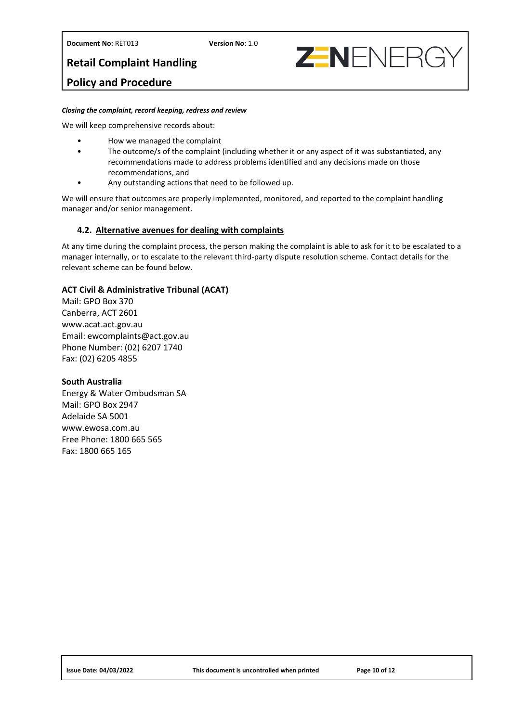**Document No:** RET013 **Version No**: 1.0

**Retail Complaint Handling** 



## **Policy and Procedure**

#### *Closing the complaint, record keeping, redress and review*

We will keep comprehensive records about:

- How we managed the complaint
- The outcome/s of the complaint (including whether it or any aspect of it was substantiated, any recommendations made to address problems identified and any decisions made on those recommendations, and
- Any outstanding actions that need to be followed up.

We will ensure that outcomes are properly implemented, monitored, and reported to the complaint handling manager and/or senior management.

## <span id="page-9-0"></span>**4.2. Alternative avenues for dealing with complaints**

At any time during the complaint process, the person making the complaint is able to ask for it to be escalated to a manager internally, or to escalate to the relevant third-party dispute resolution scheme. Contact details for the relevant scheme can be found below.

## **ACT Civil & Administrative Tribunal (ACAT)**

Mail: GPO Box 370 Canberra, ACT 2601 www.acat.act.gov.au Email: ewcomplaints@act.gov.au Phone Number: (02) 6207 1740 Fax: (02) 6205 4855

## **South Australia**

Energy & Water Ombudsman SA Mail: GPO Box 2947 Adelaide SA 5001 www.ewosa.com.au Free Phone: 1800 665 565 Fax: 1800 665 165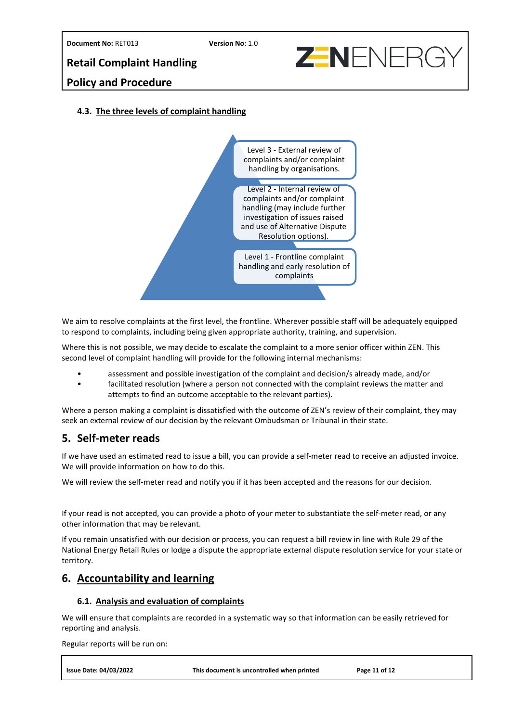## **Policy and Procedure**

## <span id="page-10-0"></span>**4.3. The three levels of complaint handling**



We aim to resolve complaints at the first level, the frontline. Wherever possible staff will be adequately equipped to respond to complaints, including being given appropriate authority, training, and supervision.

Where this is not possible, we may decide to escalate the complaint to a more senior officer within ZEN. This second level of complaint handling will provide for the following internal mechanisms:

- assessment and possible investigation of the complaint and decision/s already made, and/or
- facilitated resolution (where a person not connected with the complaint reviews the matter and attempts to find an outcome acceptable to the relevant parties).

Where a person making a complaint is dissatisfied with the outcome of ZEN's review of their complaint, they may seek an external review of our decision by the relevant Ombudsman or Tribunal in their state.

## <span id="page-10-1"></span>**5. Self-meter reads**

If we have used an estimated read to issue a bill, you can provide a self-meter read to receive an adjusted invoice. We will provide information on how to do this.

We will review the self-meter read and notify you if it has been accepted and the reasons for our decision.

If your read is not accepted, you can provide a photo of your meter to substantiate the self-meter read, or any other information that may be relevant.

If you remain unsatisfied with our decision or process, you can request a bill review in line with Rule 29 of the National Energy Retail Rules or lodge a dispute the appropriate external dispute resolution service for your state or territory.

## <span id="page-10-3"></span><span id="page-10-2"></span>**6. Accountability and learning**

## **6.1. Analysis and evaluation of complaints**

We will ensure that complaints are recorded in a systematic way so that information can be easily retrieved for reporting and analysis.

Regular reports will be run on:

**ZENENERG**